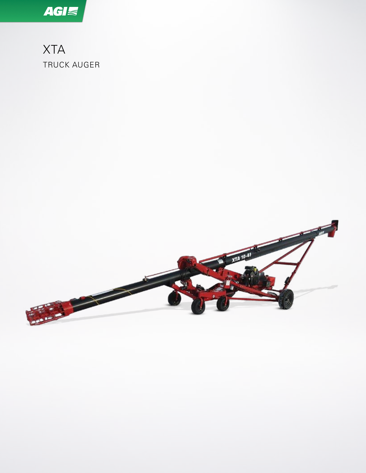

# XTA TRUCK AUGER

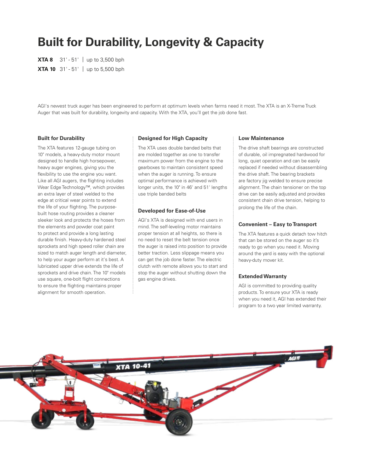# **Built for Durability, Longevity & Capacity**

**XTA 8** 31' - 51' | up to 3,500 bph **XTA 10** 31' - 51' | up to 5,500 bph

AGI's newest truck auger has been engineered to perform at optimum levels when farms need it most. The XTA is an X-Treme Truck Auger that was built for durability, longevity and capacity. With the XTA, you'll get the job done fast.

#### **Built for Durability**

The XTA features 12-gauge tubing on 10" models, a heavy-duty motor mount designed to handle high horsepower, heavy auger engines, giving you the flexibility to use the engine you want. Like all AGI augers, the flighting includes Wear Edge Technology™, which provides an extra layer of steel welded to the edge at critical wear points to extend the life of your flighting. The purposebuilt hose routing provides a cleaner sleeker look and protects the hoses from the elements and powder coat paint to protect and provide a long lasting durable finish. Heavy-duty hardened steel sprockets and high speed roller chain are sized to match auger length and diameter, to help your auger perform at it's best. A lubricated upper drive extends the life of sprockets and drive chain. The 10" models use square, one-bolt flight connections to ensure the flighting maintains proper alignment for smooth operation.

#### **Designed for High Capacity**

The XTA uses double banded belts that are molded together as one to transfer maximum power from the engine to the gearboxes to maintain consistent speed when the auger is running. To ensure optimal performance is achieved with longer units, the 10" in 46' and 51' lengths use triple banded belts

## **Developed for Ease-of-Use**

AGI's XTA is designed with end users in mind. The self-leveling motor maintains proper tension at all heights, so there is no need to reset the belt tension once the auger is raised into position to provide better traction. Less slippage means you can get the job done faster. The electric clutch with remote allows you to start and stop the auger without shutting down the gas engine drives.

#### **Low Maintenance**

The drive shaft bearings are constructed of durable, oil impregnated hardwood for long, quiet operation and can be easily replaced if needed without disassembling the drive shaft. The bearing brackets are factory jig welded to ensure precise alignment. The chain tensioner on the top drive can be easily adjusted and provides consistent chain drive tension, helping to prolong the life of the chain.

#### **Convenient – Easy to Transport**

The XTA features a quick detach tow hitch that can be stored on the auger so it's ready to go when you need it. Moving around the yard is easy with the optional heavy-duty mover kit.

#### **Extended Warranty**

AGI is committed to providing quality products. To ensure your XTA is ready when you need it, AGI has extended their program to a two year limited warranty.

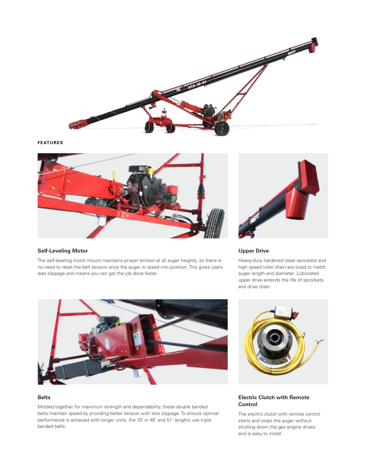

**FEATURES**



# **Self-Leveling Motor**

The self-leveling motor mount maintains proper tension at all auger heights, so there is no need to reset the belt tension once the auger is raised into position. This gives users less slippage and means you can get the job done faster.



### **Upper Drive**

Heavy-duty hardened steel sprockets and high speed roller chain are sized to match auger length and diameter. Lubricated upper drive extends the life of sprockets and drive chain.



# **Belts**

Molded together for maximum strength and dependability, these double banded belts maintain speed by providing better tension with less slippage. To ensure optimal performance is achieved with longer units, the 10" in 46' and 51' lengths use triple banded belts.



# **Electric Clutch with Remote Control**

The electric clutch with remote control starts and stops the auger without shutting down the gas engine drives and is easy to install.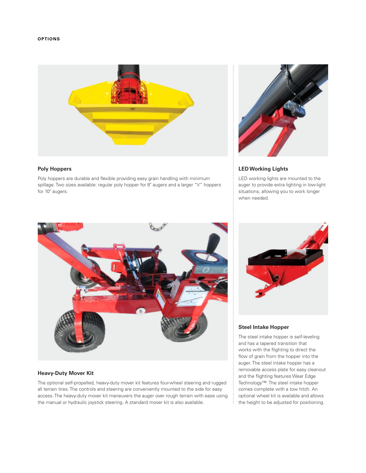## **OPTIONS**



# **Poly Hoppers**

Poly hoppers are durable and flexible providing easy grain handling with minimum spillage. Two sizes available: regular poly hopper for 8" augers and a larger "V" hoppers for 10" augers.



#### **LED Working Lights**

LED working lights are mounted to the auger to provide extra lighting in low-light situations, allowing you to work longer when needed.



## **Heavy-Duty Mover Kit**

The optional self-propelled, heavy-duty mover kit features four-wheel steering and rugged all terrain tires. The controls and steering are conveniently mounted to the side for easy access. The heavy-duty mover kit maneuvers the auger over rough terrain with ease using the manual or hydraulic joystick steering. A standard mover kit is also available.



# **Steel Intake Hopper**

The steel intake hopper is self-leveling and has a tapered transition that works with the flighting to direct the flow of grain from the hopper into the auger. The steel intake hopper has a removable access plate for easy cleanout and the flighting features Wear Edge Technology™. The steel intake hopper comes complete with a tow hitch. An optional wheel kit is available and allows the height to be adjusted for positioning.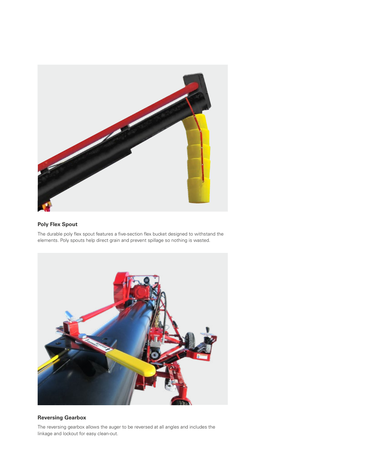

# **Poly Flex Spout**

The durable poly flex spout features a five-section flex bucket designed to withstand the elements. Poly spouts help direct grain and prevent spillage so nothing is wasted.



# **Reversing Gearbox**

The reversing gearbox allows the auger to be reversed at all angles and includes the linkage and lockout for easy clean-out.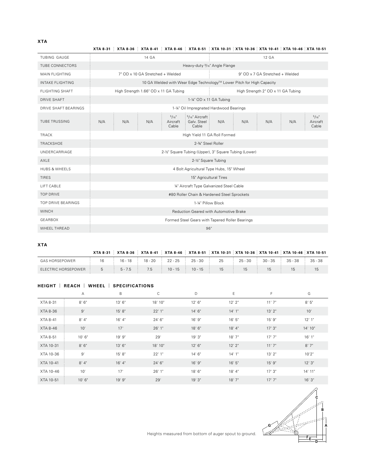#### **XTA 8-31 XTA 8-36 XTA 8-41 XTA 8-46 XTA 8-51 XTA 10-31 XTA 10-36 XTA 10-41 XTA 10-46 XTA 10-51**

| <b>TUBING GAUGE</b>      | 14 GA                                                                                        | 12 GA                                                  |  |  |  |  |
|--------------------------|----------------------------------------------------------------------------------------------|--------------------------------------------------------|--|--|--|--|
| TUBE CONNECTORS          | Heavy-duty 3/16" Angle Flange                                                                |                                                        |  |  |  |  |
| <b>MAIN FLIGHTING</b>    | 7" OD x 10 GA Stretched + Welded                                                             | 9" OD x 7 GA Stretched + Welded                        |  |  |  |  |
| INTAKE FLIGHTING         | 10 GA Welded with Wear Edge Technology™ Lower Pitch for High Capacity                        |                                                        |  |  |  |  |
| FLIGHTING SHAFT          | High Strength 1.66" OD x 11 GA Tubing<br>High Strength 2" OD x 11 GA Tubing                  |                                                        |  |  |  |  |
| <b>DRIVE SHAFT</b>       | 1-14" OD x 11 GA Tubing                                                                      |                                                        |  |  |  |  |
| DRIVE SHAFT BEARINGS     | 1-14" Oil Impregnated Hardwood Bearings                                                      |                                                        |  |  |  |  |
| <b>TUBE TRUSSING</b>     | 5/16"<br>$5/16$ " Aircraft<br>N/A<br>N/A<br>N/A<br>Galv. Steel<br>Aircraft<br>Cable<br>Cable | 5/16"<br>N/A<br>N/A<br>N/A<br>N/A<br>Aircraft<br>Cable |  |  |  |  |
| <b>TRACK</b>             | High Yield 11 GA Roll Formed                                                                 |                                                        |  |  |  |  |
| TRACKSHOE                | 2-34" Steel Roller                                                                           |                                                        |  |  |  |  |
| UNDERCARRIAGE            | 2-1/2" Square Tubing (Upper), 3" Square Tubing (Lower)                                       |                                                        |  |  |  |  |
| AXLE                     | 2-1/ <sub>2</sub> " Square Tubing                                                            |                                                        |  |  |  |  |
| <b>HUBS &amp; WHEELS</b> | 4 Bolt Agricultural Type Hubs, 15" Wheel                                                     |                                                        |  |  |  |  |
| <b>TIRES</b>             | 15" Agricultural Tires                                                                       |                                                        |  |  |  |  |
| LIFT CABLE               | 1/4" Aircraft Type Galvanized Steel Cable                                                    |                                                        |  |  |  |  |
| <b>TOP DRIVE</b>         | #80 Roller Chain & Hardened Steel Sprockets                                                  |                                                        |  |  |  |  |
| TOP DRIVE BEARINGS       | 1-14" Pillow Block                                                                           |                                                        |  |  |  |  |
| <b>WINCH</b>             | Reduction Geared with Automotive Brake                                                       |                                                        |  |  |  |  |
| GEARBOX                  | Formed Steel Gears with Tapered Roller Bearings                                              |                                                        |  |  |  |  |
| <b>WHEEL THREAD</b>      | 96"                                                                                          |                                                        |  |  |  |  |

#### **XTA**

#### **XTA 8-31 XTA 8-36 XTA 8-41 XTA 8-46 XTA 8-51 XTA 10-31 XTA 10-36 XTA 10-41 XTA 10-46 XTA 10-51**

| GAS HORSEPOWER             | 16           | $16 - 18$ |    |           |           |    | 18-20 22-25 25-30 25 25-30 3 | $30 - 35$ $35 - 38$ | $35 - 38$ |
|----------------------------|--------------|-----------|----|-----------|-----------|----|------------------------------|---------------------|-----------|
| <b>ELECTRIC HORSEPOWER</b> | $\mathbf{h}$ | $5 - 7.5$ | /h | $10 - 15$ | $10 - 15$ | 15 |                              |                     |           |

# **HEIGHT** | **REACH** | **WHEEL** | **SPECIFICATIONS**

|                 | Α      | В       | С       | D      | Ε           | F           | G       |
|-----------------|--------|---------|---------|--------|-------------|-------------|---------|
| XTA 8-31        | 8'6''  | 13'6''  | 18' 10" | 12'6'' | $12'$ $2''$ | 11'7''      | 8'5''   |
| XTA 8-36        | $9'$   | 15' 8'' | 22'1"   | 14'6'' | 14'1''      | 13'2''      | 10'     |
| <b>XTA 8-41</b> | 8'4"   | 16' 4"  | 24'6''  | 16'9'' | 16'5''      | 15'9''      | 12'1''  |
| XTA 8-46        | 10'    | 17'     | 26'1"   | 18'6'' | 18'4''      | 17'3''      | 14'10'' |
| XTA 8-51        | 10'6'' | 19'9''  | 29'     | 19'3"  | 18'7''      | 17'7''      | 16'1"   |
| XTA 10-31       | 8'6''  | 13'6''  | 18' 10" | 12'6'' | 12'2''      | 11'7''      | 8'7''   |
| XTA 10-36       | 9'     | 15' 8'' | 22'1"   | 14'6'' | 14'1''      | 13'2''      | 10'2"   |
| XTA 10-41       | 8'4"   | 16' 4'' | 24'6''  | 16'9'' | 16'5''      | 15'9''      | 12'3''  |
| XTA 10-46       | 10'    | 17'     | 26'1"   | 18'6'' | 18'4''      | 17'3''      | 14'11'' |
| XTA 10-51       | 10'6'' | 19'9''  | 29'     | 19'3"  | 18'7''      | $17'$ $7''$ | 16'3''  |



Heights measured from bottom of auger spout to ground.

**XTA**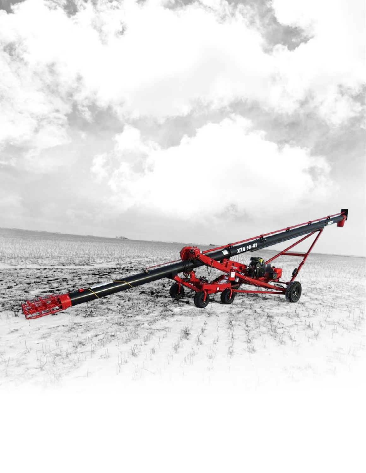